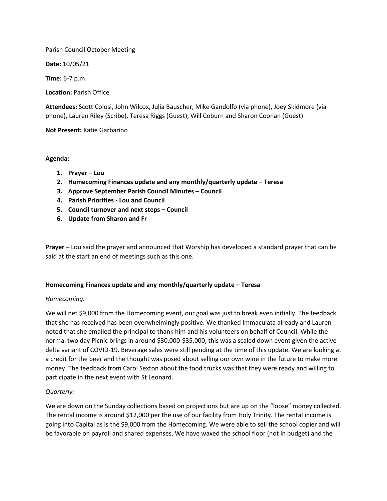Parish Council October Meeting

**Date:** 10/05/21

**Time:** 6-7 p.m.

**Location:** Parish Office

**Attendees:** Scott Colosi, John Wilcox, Julia Bauscher, Mike Gandolfo (via phone), Joey Skidmore (via phone), Lauren Riley (Scribe), Teresa Riggs (Guest), Will Coburn and Sharon Coonan (Guest)

**Not Present:** Katie Garbarino

# **Agenda:**

- **1. Prayer – Lou**
- **2. Homecoming Finances update and any monthly/quarterly update – Teresa**
- **3. Approve September Parish Council Minutes – Council**
- **4. Parish Priorities - Lou and Council**
- **5. Council turnover and next steps – Council**
- **6. Update from Sharon and Fr**

**Prayer –** Lou said the prayer and announced that Worship has developed a standard prayer that can be said at the start an end of meetings such as this one.

### **Homecoming Finances update and any monthly/quarterly update – Teresa**

### *Homecoming:*

We will net \$9,000 from the Homecoming event, our goal was just to break even initially. The feedback that she has received has been overwhelmingly positive. We thanked Immaculata already and Lauren noted that she emailed the principal to thank him and his volunteers on behalf of Council. While the normal two day Picnic brings in around \$30,000-\$35,000, this was a scaled down event given the active delta variant of COVID-19. Beverage sales were still pending at the time of this update. We are looking at a credit for the beer and the thought was posed about selling our own wine in the future to make more money. The feedback from Carol Sexton about the food trucks was that they were ready and willing to participate in the next event with St Leonard.

# *Quarterly:*

We are down on the Sunday collections based on projections but are up on the "loose" money collected. The rental income is around \$12,000 per the use of our facility from Holy Trinity. The rental income is going into Capital as is the \$9,000 from the Homecoming. We were able to sell the school copier and will be favorable on payroll and shared expenses. We have waxed the school floor (not in budget) and the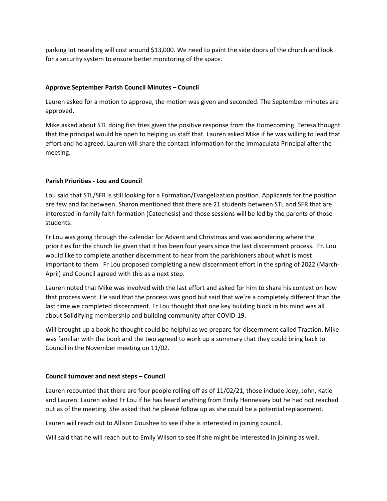parking lot resealing will cost around \$13,000. We need to paint the side doors of the church and look for a security system to ensure better monitoring of the space.

# **Approve September Parish Council Minutes – Council**

Lauren asked for a motion to approve, the motion was given and seconded. The September minutes are approved.

Mike asked about STL doing fish fries given the positive response from the Homecoming. Teresa thought that the principal would be open to helping us staff that. Lauren asked Mike if he was willing to lead that effort and he agreed. Lauren will share the contact information for the Immaculata Principal after the meeting.

# **Parish Priorities - Lou and Council**

Lou said that STL/SFR is still looking for a Formation/Evangelization position. Applicants for the position are few and far between. Sharon mentioned that there are 21 students between STL and SFR that are interested in family faith formation (Catechesis) and those sessions will be led by the parents of those students.

Fr Lou was going through the calendar for Advent and Christmas and was wondering where the priorities for the church lie given that it has been four years since the last discernment process. Fr. Lou would like to complete another discernment to hear from the parishioners about what is most important to them. Fr Lou proposed completing a new discernment effort in the spring of 2022 (March-April) and Council agreed with this as a next step.

Lauren noted that Mike was involved with the last effort and asked for him to share his context on how that process went. He said that the process was good but said that we're a completely different than the last time we completed discernment. Fr Lou thought that one key building block in his mind was all about Solidifying membership and building community after COVID-19.

Will brought up a book he thought could be helpful as we prepare for discernment called Traction. Mike was familiar with the book and the two agreed to work up a summary that they could bring back to Council in the November meeting on 11/02.

### **Council turnover and next steps – Council**

Lauren recounted that there are four people rolling off as of 11/02/21, those include Joey, John, Katie and Lauren. Lauren asked Fr Lou if he has heard anything from Emily Hennessey but he had not reached out as of the meeting. She asked that he please follow up as she could be a potential replacement.

Lauren will reach out to Allison Goushee to see if she is interested in joining council.

Will said that he will reach out to Emily Wilson to see if she might be interested in joining as well.